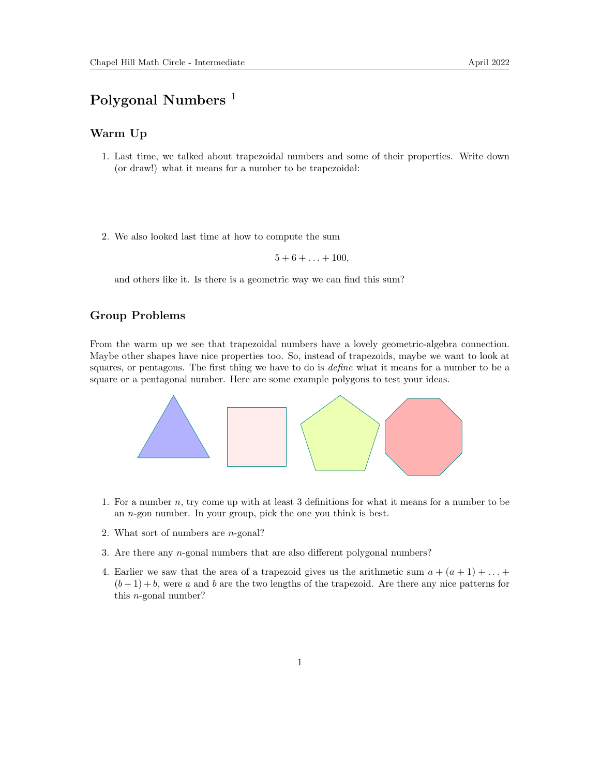## Polygonal Numbers<sup>1</sup>

## Warm Up

- 1. Last time, we talked about trapezoidal numbers and some of their properties. Write down (or draw!) what it means for a number to be trapezoidal:
- 2. We also looked last time at how to compute the sum

$$
5+6+\ldots+100,
$$

and others like it. Is there is a geometric way we can find this sum?

## Group Problems

From the warm up we see that trapezoidal numbers have a lovely geometric-algebra connection. Maybe other shapes have nice properties too. So, instead of trapezoids, maybe we want to look at squares, or pentagons. The first thing we have to do is *define* what it means for a number to be a square or a pentagonal number. Here are some example polygons to test your ideas.



- 1. For a number  $n$ , try come up with at least 3 definitions for what it means for a number to be an n-gon number. In your group, pick the one you think is best.
- 2. What sort of numbers are n-gonal?
- 3. Are there any n-gonal numbers that are also different polygonal numbers?
- 4. Earlier we saw that the area of a trapezoid gives us the arithmetic sum  $a + (a + 1) + ... +$  $(b-1)+b$ , were a and b are the two lengths of the trapezoid. Are there any nice patterns for this n-gonal number?